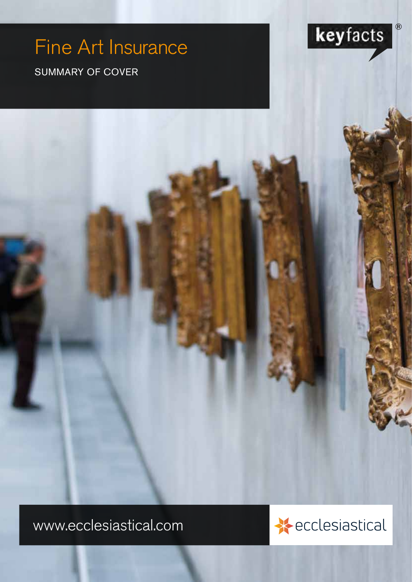# Fine Art Insurance

www.ecclesiastical.com

SUMMARY OF COVER



 $\circledR$ 

keyfacts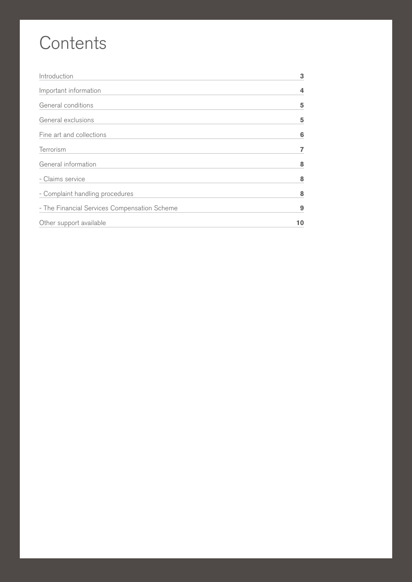# **Contents**

| Introduction                                 | 3  |
|----------------------------------------------|----|
| Important information                        | 4  |
| General conditions                           | 5  |
| General exclusions                           | 5  |
| Fine art and collections                     | 6  |
| Terrorism                                    |    |
| General information                          | 8  |
| - Claims service                             | 8  |
| - Complaint handling procedures              | 8  |
| - The Financial Services Compensation Scheme | 9  |
| Other support available                      | 10 |

 $2.5\pm0.05$  SUMMARY OF COVER  $F$  COVER  $F$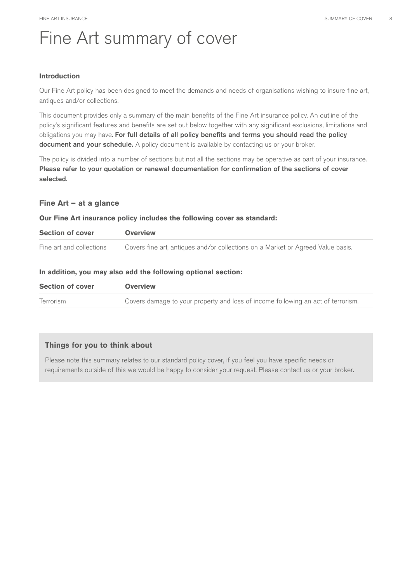# Fine Art summary of cover

#### **Introduction**

Our Fine Art policy has been designed to meet the demands and needs of organisations wishing to insure fine art, antiques and/or collections.

This document provides only a summary of the main benefits of the Fine Art insurance policy. An outline of the policy's significant features and benefits are set out below together with any significant exclusions, limitations and obligations you may have. For full details of all policy benefits and terms you should read the policy document and your schedule. A policy document is available by contacting us or your broker.

The policy is divided into a number of sections but not all the sections may be operative as part of your insurance. Please refer to your quotation or renewal documentation for confirmation of the sections of cover selected.

#### **Fine Art – at a glance**

#### **Our Fine Art insurance policy includes the following cover as standard:**

| <b>Section of cover</b>  | <b>Overview</b>                                                                 |
|--------------------------|---------------------------------------------------------------------------------|
| Fine art and collections | Covers fine art, antiques and/or collections on a Market or Agreed Value basis. |

#### **In addition, you may also add the following optional section:**

| <b>Section of cover</b> | <b>Overview</b>                                                                  |
|-------------------------|----------------------------------------------------------------------------------|
| <b>Terrorism</b>        | Covers damage to your property and loss of income following an act of terrorism. |

#### **Things for you to think about**

Please note this summary relates to our standard policy cover, if you feel you have specific needs or requirements outside of this we would be happy to consider your request. Please contact us or your broker.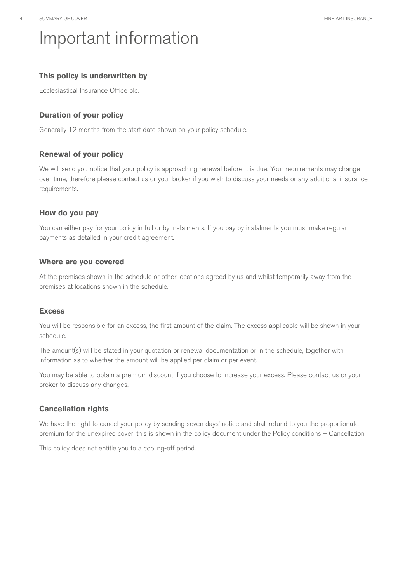# Important information

# **This policy is underwritten by**

Ecclesiastical Insurance Office plc.

# **Duration of your policy**

Generally 12 months from the start date shown on your policy schedule.

### **Renewal of your policy**

We will send you notice that your policy is approaching renewal before it is due. Your requirements may change over time, therefore please contact us or your broker if you wish to discuss your needs or any additional insurance requirements.

### **How do you pay**

You can either pay for your policy in full or by instalments. If you pay by instalments you must make regular payments as detailed in your credit agreement.

### **Where are you covered**

At the premises shown in the schedule or other locations agreed by us and whilst temporarily away from the premises at locations shown in the schedule.

# **Excess**

You will be responsible for an excess, the first amount of the claim. The excess applicable will be shown in your schedule.

The amount(s) will be stated in your quotation or renewal documentation or in the schedule, together with information as to whether the amount will be applied per claim or per event.

You may be able to obtain a premium discount if you choose to increase your excess. Please contact us or your broker to discuss any changes.

# **Cancellation rights**

We have the right to cancel your policy by sending seven days' notice and shall refund to you the proportionate premium for the unexpired cover, this is shown in the policy document under the Policy conditions – Cancellation.

This policy does not entitle you to a cooling-off period.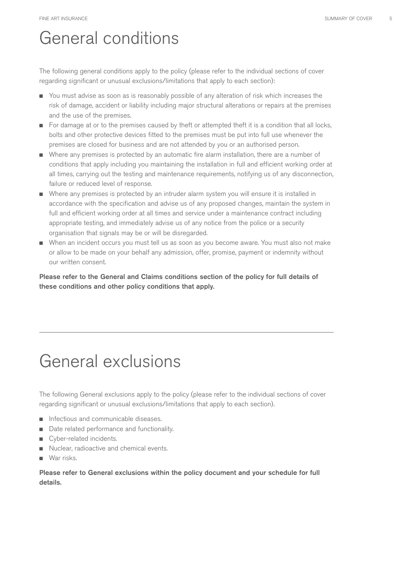# General conditions

The following general conditions apply to the policy (please refer to the individual sections of cover regarding significant or unusual exclusions/limitations that apply to each section):

- You must advise as soon as is reasonably possible of any alteration of risk which increases the risk of damage, accident or liability including major structural alterations or repairs at the premises and the use of the premises.
- For damage at or to the premises caused by theft or attempted theft it is a condition that all locks, bolts and other protective devices fitted to the premises must be put into full use whenever the premises are closed for business and are not attended by you or an authorised person.
- Where any premises is protected by an automatic fire alarm installation, there are a number of conditions that apply including you maintaining the installation in full and efficient working order at all times, carrying out the testing and maintenance requirements, notifying us of any disconnection, failure or reduced level of response.
- Where any premises is protected by an intruder alarm system you will ensure it is installed in accordance with the specification and advise us of any proposed changes, maintain the system in full and efficient working order at all times and service under a maintenance contract including appropriate testing, and immediately advise us of any notice from the police or a security organisation that signals may be or will be disregarded.
- When an incident occurs you must tell us as soon as you become aware. You must also not make or allow to be made on your behalf any admission, offer, promise, payment or indemnity without our written consent.

Please refer to the General and Claims conditions section of the policy for full details of these conditions and other policy conditions that apply.

# General exclusions

The following General exclusions apply to the policy (please refer to the individual sections of cover regarding significant or unusual exclusions/limitations that apply to each section).

- Infectious and communicable diseases.
- Date related performance and functionality.
- Cyber-related incidents.
- Nuclear, radioactive and chemical events.
- War risks.

Please refer to General exclusions within the policy document and your schedule for full details.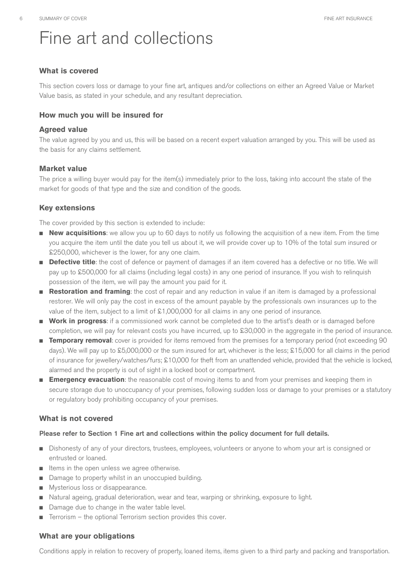# Fine art and collections

### **What is covered**

This section covers loss or damage to your fine art, antiques and/or collections on either an Agreed Value or Market Value basis, as stated in your schedule, and any resultant depreciation.

#### **How much you will be insured for**

#### **Agreed value**

The value agreed by you and us, this will be based on a recent expert valuation arranged by you. This will be used as the basis for any claims settlement.

#### **Market value**

The price a willing buyer would pay for the item(s) immediately prior to the loss, taking into account the state of the market for goods of that type and the size and condition of the goods.

# **Key extensions**

The cover provided by this section is extended to include:

- **New acquisitions**: we allow you up to 60 days to notify us following the acquisition of a new item. From the time you acquire the item until the date you tell us about it, we will provide cover up to 10% of the total sum insured or £250,000, whichever is the lower, for any one claim.
- **Defective title**: the cost of defence or payment of damages if an item covered has a defective or no title. We will pay up to £500,000 for all claims (including legal costs) in any one period of insurance. If you wish to relinquish possession of the item, we will pay the amount you paid for it.
- **Restoration and framing**: the cost of repair and any reduction in value if an item is damaged by a professional restorer. We will only pay the cost in excess of the amount payable by the professionals own insurances up to the value of the item, subject to a limit of £1,000,000 for all claims in any one period of insurance.
- **Work in progress**: if a commissioned work cannot be completed due to the artist's death or is damaged before completion, we will pay for relevant costs you have incurred, up to £30,000 in the aggregate in the period of insurance.
- **Temporary removal**: cover is provided for items removed from the premises for a temporary period (not exceeding 90 days). We will pay up to £5,000,000 or the sum insured for art, whichever is the less; £15,000 for all claims in the period of insurance for jewellery/watches/furs; £10,000 for theft from an unattended vehicle, provided that the vehicle is locked, alarmed and the property is out of sight in a locked boot or compartment.
- **Emergency evacuation**: the reasonable cost of moving items to and from your premises and keeping them in secure storage due to unoccupancy of your premises, following sudden loss or damage to your premises or a statutory or regulatory body prohibiting occupancy of your premises.

# **What is not covered**

#### Please refer to Section 1 Fine art and collections within the policy document for full details.

- Dishonesty of any of your directors, trustees, employees, volunteers or anyone to whom your art is consigned or entrusted or loaned.
- Items in the open unless we agree otherwise.
- Damage to property whilst in an unoccupied building.
- Mysterious loss or disappearance.
- Natural ageing, gradual deterioration, wear and tear, warping or shrinking, exposure to light.
- Damage due to change in the water table level.
- Terrorism the optional Terrorism section provides this cover.

#### **What are your obligations**

Conditions apply in relation to recovery of property, loaned items, items given to a third party and packing and transportation.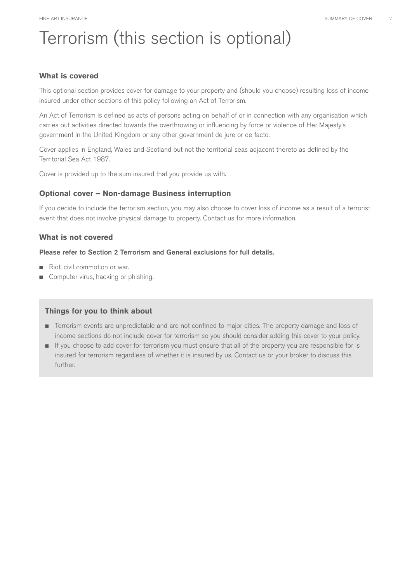# Terrorism (this section is optional)

#### **What is covered**

This optional section provides cover for damage to your property and (should you choose) resulting loss of income insured under other sections of this policy following an Act of Terrorism.

An Act of Terrorism is defined as acts of persons acting on behalf of or in connection with any organisation which carries out activities directed towards the overthrowing or influencing by force or violence of Her Majesty's government in the United Kingdom or any other government de jure or de facto.

Cover applies in England, Wales and Scotland but not the territorial seas adjacent thereto as defined by the Territorial Sea Act 1987.

Cover is provided up to the sum insured that you provide us with.

# **Optional cover – Non-damage Business interruption**

If you decide to include the terrorism section, you may also choose to cover loss of income as a result of a terrorist event that does not involve physical damage to property. Contact us for more information.

### **What is not covered**

#### Please refer to Section 2 Terrorism and General exclusions for full details.

- Riot, civil commotion or war.
- Computer virus, hacking or phishing.

#### **Things for you to think about**

- Terrorism events are unpredictable and are not confined to major cities. The property damage and loss of income sections do not include cover for terrorism so you should consider adding this cover to your policy.
- If you choose to add cover for terrorism you must ensure that all of the property you are responsible for is insured for terrorism regardless of whether it is insured by us. Contact us or your broker to discuss this further.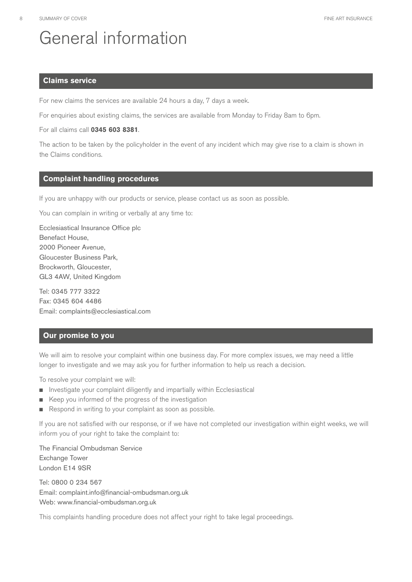# General information

#### **Claims service**

For new claims the services are available 24 hours a day, 7 days a week.

For enquiries about existing claims, the services are available from Monday to Friday 8am to 6pm.

For all claims call **0345 603 8381**.

The action to be taken by the policyholder in the event of any incident which may give rise to a claim is shown in the Claims conditions.

#### **Complaint handling procedures**

If you are unhappy with our products or service, please contact us as soon as possible.

You can complain in writing or verbally at any time to:

Ecclesiastical Insurance Office plc Benefact House, 2000 Pioneer Avenue, Gloucester Business Park, Brockworth, Gloucester, GL3 4AW, United Kingdom

Tel: 0345 777 3322 Fax: 0345 604 4486 Email: [complaints@ecclesiastical.com](mailto:complaints@ecclesiastical.com) 

#### **Our promise to you**

We will aim to resolve your complaint within one business day. For more complex issues, we may need a little longer to investigate and we may ask you for further information to help us reach a decision.

To resolve your complaint we will:

- Investigate your complaint diligently and impartially within Ecclesiastical
- Keep you informed of the progress of the investigation
- Respond in writing to your complaint as soon as possible.

If you are not satisfied with our response, or if we have not completed our investigation within eight weeks, we will inform you of your right to take the complaint to:

The Financial Ombudsman Service Exchange Tower London E14 9SR

Tel: 0800 0 234 567 Email: complaint.info@financial-ombudsman.org.uk Web: <www.financial-ombudsman.org.uk>

This complaints handling procedure does not affect your right to take legal proceedings.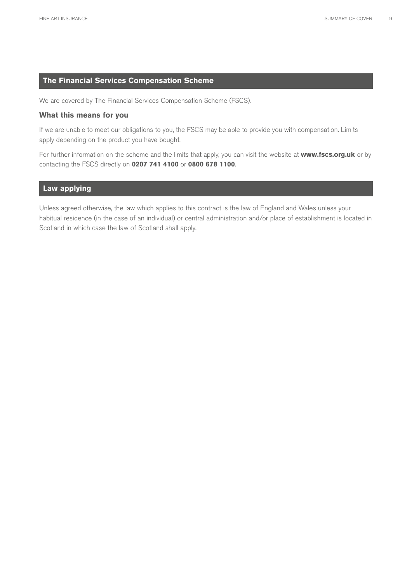### **The Financial Services Compensation Scheme**

We are covered by The Financial Services Compensation Scheme (FSCS).

#### **What this means for you**

If we are unable to meet our obligations to you, the FSCS may be able to provide you with compensation. Limits apply depending on the product you have bought.

For further information on the scheme and the limits that apply, you can visit the website at **<www.fscs.org.uk>**or by contacting the FSCS directly on **0207 741 4100** or **0800 678 1100**.

#### **Law applying**

Unless agreed otherwise, the law which applies to this contract is the law of England and Wales unless your habitual residence (in the case of an individual) or central administration and/or place of establishment is located in Scotland in which case the law of Scotland shall apply.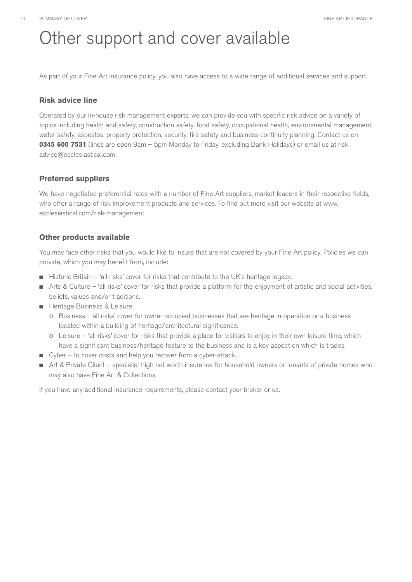# Other support and cover available

As part of your Fine Art insurance policy, you also have access to a wide range of additional services and support.

# **Risk advice line**

Operated by our in-house risk management experts, we can provide you with specific risk advice on a variety of topics including health and safety, construction safety, food safety, occupational health, environmental management, water safety, asbestos, property protection, security, fire safety and business continuity planning. Contact us on **0345 600 7531** (lines are open 9am – 5pm Monday to Friday, excluding Bank Holidays) or email us at risk. [advice@ecclesiastical.com](mailto:advice@ecclesiastical.com) 

# **Preferred suppliers**

We have negotiated preferential rates with a number of Fine Art suppliers, market leaders in their respective fields, who offer a range of risk improvement products and services. To find out more visit our website at www. [ecclesiastical.com/risk-management](https://ecclesiastical.com/risk-management)

# **Other products available**

You may face other risks that you would like to insure that are not covered by your Fine Art policy. Policies we can provide, which you may benefit from, include:

- Historic Britain 'all risks' cover for risks that contribute to the UK's heritage legacy.
- Arts & Culture 'all risks' cover for risks that provide a platform for the enjoyment of artistic and social activities, beliefs, values and/or traditions.
- Heritage Business & Leisure
	- o Business 'all risks' cover for owner occupied businesses that are heritage in operation or a business located within a building of heritage/architectural significance.
	- o Leisure 'all risks' cover for risks that provide a place for visitors to enjoy in their own leisure time, which have a significant business/heritage feature to the business and is a key aspect on which is trades.
- Cyber to cover costs and help you recover from a cyber-attack.
- Art & Private Client specialist high net worth insurance for household owners or tenants of private homes who may also have Fine Art & Collections.

If you have any additional insurance requirements, please contact your broker or us.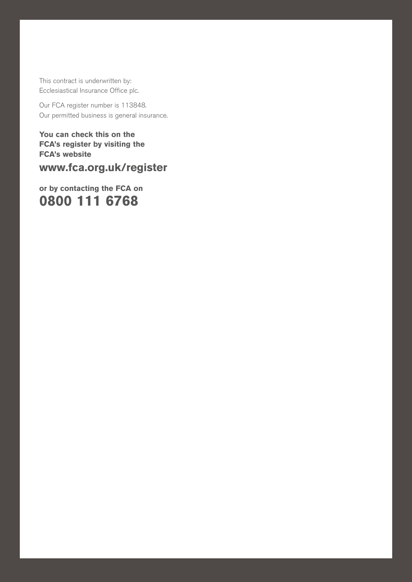This contract is underwritten by: Ecclesiastical Insurance Office plc.

Our FCA register number is 113848. Our permitted business is general insurance.

Fine art insurance summary of  $\mathbb{R}^n$  are insurance summary of  $\mathbb{R}^n$  . The cover  $\mathbb{R}^n$ 

**You can check this on the FCA's register by visiting the FCA's website** 

**<www.fca.org.uk/register>**

**or by contacting the FCA on 0800 111 6768**